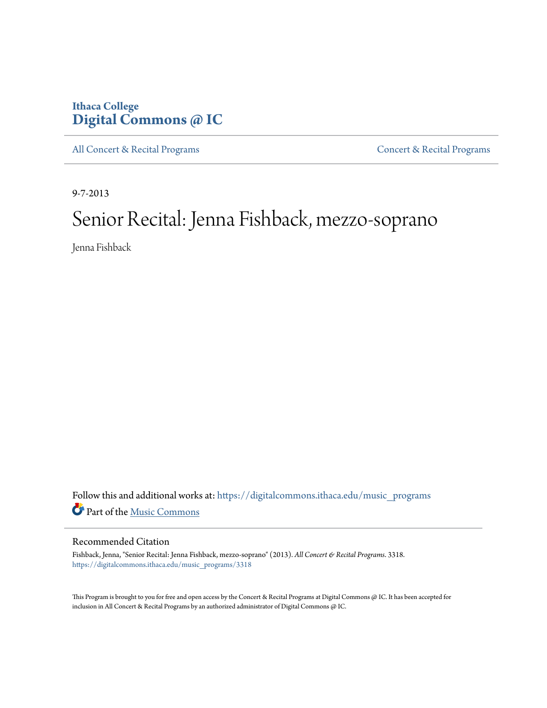### **Ithaca College [Digital Commons @ IC](https://digitalcommons.ithaca.edu?utm_source=digitalcommons.ithaca.edu%2Fmusic_programs%2F3318&utm_medium=PDF&utm_campaign=PDFCoverPages)**

[All Concert & Recital Programs](https://digitalcommons.ithaca.edu/music_programs?utm_source=digitalcommons.ithaca.edu%2Fmusic_programs%2F3318&utm_medium=PDF&utm_campaign=PDFCoverPages) **[Concert & Recital Programs](https://digitalcommons.ithaca.edu/som_programs?utm_source=digitalcommons.ithaca.edu%2Fmusic_programs%2F3318&utm_medium=PDF&utm_campaign=PDFCoverPages)** 

9-7-2013

# Senior Recital: Jenna Fishback, mezzo-soprano

Jenna Fishback

Follow this and additional works at: [https://digitalcommons.ithaca.edu/music\\_programs](https://digitalcommons.ithaca.edu/music_programs?utm_source=digitalcommons.ithaca.edu%2Fmusic_programs%2F3318&utm_medium=PDF&utm_campaign=PDFCoverPages) Part of the [Music Commons](http://network.bepress.com/hgg/discipline/518?utm_source=digitalcommons.ithaca.edu%2Fmusic_programs%2F3318&utm_medium=PDF&utm_campaign=PDFCoverPages)

#### Recommended Citation

Fishback, Jenna, "Senior Recital: Jenna Fishback, mezzo-soprano" (2013). *All Concert & Recital Programs*. 3318. [https://digitalcommons.ithaca.edu/music\\_programs/3318](https://digitalcommons.ithaca.edu/music_programs/3318?utm_source=digitalcommons.ithaca.edu%2Fmusic_programs%2F3318&utm_medium=PDF&utm_campaign=PDFCoverPages)

This Program is brought to you for free and open access by the Concert & Recital Programs at Digital Commons @ IC. It has been accepted for inclusion in All Concert & Recital Programs by an authorized administrator of Digital Commons @ IC.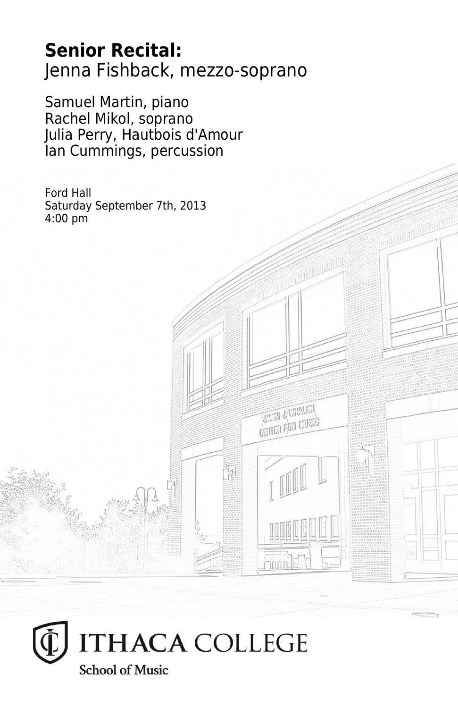## **Senior Recital:** Jenna Fishback, mezzo-soprano

**THES JUVALATA CRITER FOR LIVEIG** 

Samuel Martin, piano Rachel Mikol, soprano Julia Perry, Hautbois d'Amour Ian Cummings, percussion

Ford Hall Saturday September 7th, 2013 4:00 pm

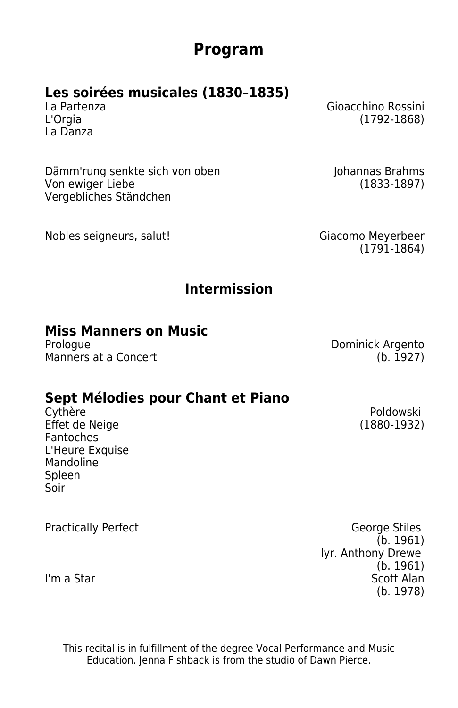### **Program**

## **Les soirées musicales (1830–1835)**

La Danza

Dämm'rung senkte sich von oben Johannas Brahms Von ewiger Liebe (1833-1897) Vergebliches Ständchen

Nobles seigneurs, salut! Giacomo Meyerbeer

La Partenza Gioacchino Rossini  $(1792 - 1868)$ 

(1791-1864)

### **Intermission**

## **Miss Manners on Music**

Manners at a Concert (b. 1927)

# **Sept Mélodies pour Chant et Piano**

Effet de Neige Fantoches L'Heure Exquise Mandoline Spleen Soir

Dominick Argento

Poldowski<br>(1880-1932)

Practically Perfect **George Stiles** (b. 1961) lyr. Anthony Drewe (b. 1961) I'm a Star Scott Alan Star Scott Alan Scott Alan Scott Alan Scott Alan Scott Alan Scott Alan Scott Alan Scott Alan Scott Alan Scott Alan Scott Alan Scott Alan Scott Alan Scott Alan Scott Alan Scott Alan Scott Alan Scott Al (b. 1978)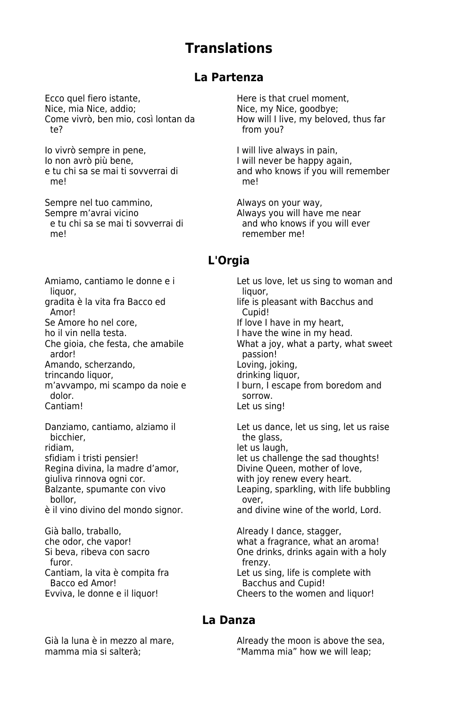### **Translations**

#### **La Partenza**

Ecco quel fiero istante, example and the Here is that cruel moment,<br>Nice, mia Nice, addio: example and Nice, my Nice, apodbye: Come vivrò, ben mio, così lontan da<br>te?

Io vivrò sempre in pene, International I will live always in pain,<br>I will never be happy against the control of the line of the language of the line of the line of the line of t Io non avrò più bene,<br>
I will never be happy again,<br>
I and who knows if you will re me! me!

Sempre nel tuo cammino, Sempre nel tuo cammino, and always on your way, Sempre m'avrai Sempre m'avrai vicino<br>
Sempre m'avrai vicino Always you will have me near<br>
Always if you will even to you will even that so we and who knows if you will eve me! The method of the method of the method of the method of the method of the method of the method of the method of the method of the method of the method of the method of the method of the method of the method of the meth

liquor, the contract of the contract of the liquor, the liquor, the liquor, the liquor, the liquor, the liquor, gradita è la vita fra Bacco ed life is pleasant with Bacchus and<br>Amor! Cupid! Amor! Cupid! Se Amore ho nel core,<br>
Se Amore ho nella testa.<br>
I have the wine in my hea ho il vin nella testa.<br>
Che gioia, che festa, che amabile **International Scheffesta, che amabile** What a joy, what a party, whe Amando, scherzando, entrando loving, joking, joking, joking, joking, joking, joking, joking, joking, joking, j<br>
drinking liguor, trincando liguor, in the state of the state of the state of the state of the state of the st trincando liquor,<br>m'avvampo, mi scampo da noie e dolor. sorrow.

ridiam,<br>sfidiam i tristi pensier!<br>let us challer Regina divina, la madre d'amor, quelliva rinnova ogni cor. giuliva rinnova ogni cor.<br>
Balzante, spumante con vivo<br>
Leaping, sparkling, with life bollor,<br>
il vino divino del mondo signor.<br>
and divine wine of the world. Lord. è il vino divino del mondo signor.

Già ballo, traballo,  $\overline{a}$  che odor, che vapor!<br>  $\overline{a}$  and  $\overline{a}$  and  $\overline{a}$  and  $\overline{a}$  and  $\overline{a}$  and  $\overline{a}$  and  $\overline{a}$  and  $\overline{a}$  and  $\overline{a}$  and  $\overline{a}$  and  $\overline{a}$  and  $\overline{a}$  and  $\overline{a}$  and furor. frenzy. Bacco ed Amor!<br>
Evviva. le donne e il liquor!<br>
Cheers to the women

Nice, my Nice, goodbye;<br>How will I live, my beloved, thus far from you?

and who knows if you will remember

and who knows if you will ever

#### **L'Orgia**

Amiamo, cantiamo le donne e i Let us love, let us sing to woman and he gioia, che festa, che amabile What a joy, what a party, what sweet<br>ardor! earston! passion!<br>Loving, joking, m'avvampo, mi scampo da noie e I burn, i escape from boredom and dolor. Let us sing! Danziamo, cantiamo, alziamo il integrantiale us dance, let us sing, let us raise<br>bicchier. the glass,

let us challenge the sad thoughts!<br>Divine Queen, mother of love,

Leaping, sparkling, with life bubbling

che odor, che vapor! what a fragrance, what an aroma! Si beva, ribeva con sacro One drinks, drinks again with a holy Cantiam, la vita è compita fra Let us sing, life is complete with<br>
Bacco ed Amor!<br>
Bacchus and Cupid!

Cheers to the women and liquor!

#### **La Danza**

Già la luna è in mezzo al mare, and already the moon is above the sea, mamma mia si salterà; "Mamma mia" how we will leap;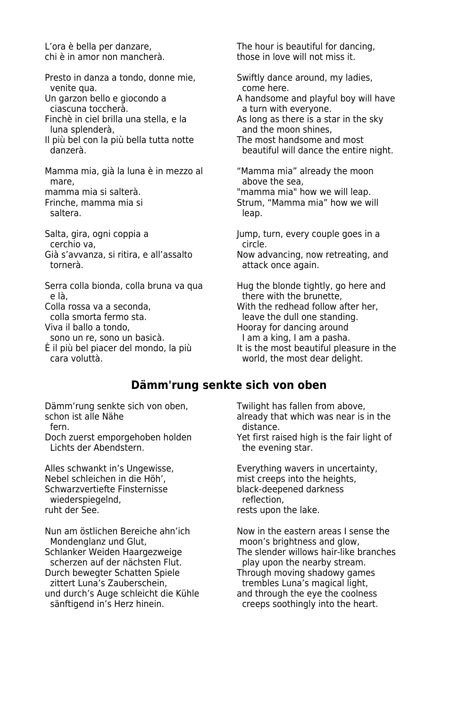chi è in amor non mancherà.

Presto in danza a tondo, donne mie, Swiftly dance around, my ladies,<br>
come here. venite qua.<br>Un garzon bello e giocondo a

- ciascuna toccherà.<br>
Finchè in ciel brilla una stella, e la serve a solong as there is a state
- 
- Il più bel con la più bella tutta notte<br>danzerà

Mamma mia, già la luna è in mezzo al "Mamma mia" already the moon mare, mamma mia si salterà.<br>
mamma mia si salterà.<br>
"mamma mia" h

saltera. **In the saltera** experience of the saltern saltern states and the saltern saltern saltern saltern saltern saltern saltern saltern saltern saltern saltern saltern saltern saltern saltern saltern saltern saltern sal

Salta, gira, ogni coppia a Jump, turn, every couple goes in a Jump, turn, every couple goes in a cerchio va,<br>Già s'avvanza, si ritira, e all'assalto

Serra colla bionda, colla bruna va qua Hug the blonde tightly, go here and<br>e là. e là,<br>
colla rossa va a seconda,<br>
With the redhead follow a

È il più bel piacer del mondo, la più cara voluttà.

L'ora è bella per danzare,<br>
chi è in amor non mancherà.<br>
those in love will not miss it.

- In garzon bello e giocondo a A handsome and playful boy will have ciascuna toccherà.<br>
a turn with everyone.
- Finchè in ciel brilla una stella, e la  $\qquad \qquad$  As long as there is a star in the sky  $\qquad$  and the moon shines. and the moon shines,<br>The most handsome and most
	- beautiful will dance the entire night.

mamma mia si salterà.<br>1994 - "mamma mia si mamma mia" how we will leap.<br>1994 - Strum. "Mamma mia" how we w Strum, "Mamma mia" how we will

Già s'avvanza, si ritira, e all'assalto  $\overrightarrow{N}$  Now advancing, now retreating, and tornerà. attack once again.

Colla rossa va a seconda, entity and the redhead follow after her,<br>
colla smorta fermo sta, entity and the dull one standing. colla smorta fermo sta. leave the dull one standing.<br>
Viva il ballo a tondo. leave standing a leave the dull one standing. Hooray for dancing around<br>I am a king, I am a pasha. sono un re, sono un basicà.<br>il più bel piacer del mondo, la più les is the most beautiful pleasure in the world, the most dear delight.

#### **Dämm'rung senkte sich von oben**

Dämm'rung senkte sich von oben, Twilight has fallen from above,<br>Schon ist alle Nähe above already that which was near is

fern. distance.<br>Doch zuerst emporgehoben holden and the Yet first ra Lichts der Abendstern. The evening star.

Nebel schleichen in die Höh', mist creeps into the heights, het in die Höhl, mist creeps into the heights, and<br>Schwarzvertiefte Finsternisse sollt black-deepened darkness Schwarzvertiefte Finsternisse black-deepened black-deepened data-<br>herflection. wiederspiegelnd,<br>ruht der See.

Nun am östlichen Bereiche ahn'ich Mow in the eastern areas I sense the Mondenglanz und Glut, Mondenglanz und Glut, moon's brightness and glow,<br>Schlanker Weiden Haargezweige The slender willows hair-like b scherzen auf der nächsten Flut.<br> Durch bewegter Schatten Spiele Durch bewegter Schatten Spiele Through moving shadowy games trembles Luna's magical light. und durch's Auge schleicht die Kühle sänftigend in's Herz hinein.

chon ist alle Nähe already that which was near is in the fern.<br>
fern. alistance.

Yet first raised high is the fair light of

Alles schwankt in's Ungewisse, Everything wavers in uncertainty, Nebel schleichen in die Höh'.<br>Nebel schleichen in die Höh'. The mist creeps into the heights. rests upon the lake.

> The slender willows hair-like branches<br>play upon the nearby stream. trembles Luna's magical light,<br>and through the eye the coolness creeps soothingly into the heart.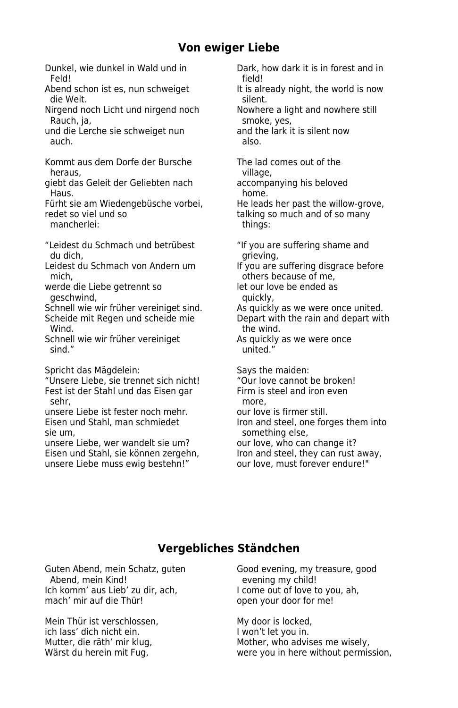#### **Von ewiger Liebe**

- Feld! field!
- Abend schon ist es, nun schweiget It is already night, the world is now
- Nirgend noch Licht und nirgend noch Rauch, ja, strong and the smoke, yes, smoke, yes, smoke, yes, smoke, yes, smoke, yes, smoke, yes, smoke,  $\frac{1}{2}$
- und die Lerche sie schweiget nun and the lark it is silent now auch. The contract of the contract of the contract of the contract of the contract of the contract of the contract of the contract of the contract of the contract of the contract of the contract of the contract of the cont
- Kommt aus dem Dorfe der Bursche The lad comes out of the heraus, theraus, the contract of the contract of the contract of the contract of the contract of the contract of the contract of the contract of the contract of the contract of the contract of the contract of the contract
- giebt das Geleit der Geliebten nach accompanying his beloved Haus. **Hause and the contract of the contract of the contract of the contract of the contract of the contract of the contract of the contract of the contract of the contract of the contract of the contract of the contract**
- Fürht sie am Wiedengebüsche vorbei, He leads her past the willow-grove, redet so viel und so talking so much and of so many
- mancherlei: things:
- "Leidest du Schmach und betrübest "If you are suffering shame and du dich, **grieving**, **grieving**,
- Leidest du Schmach von Andern um If you are suffering disgrace before mich, mich,  $\blacksquare$
- werde die Liebe getrennt so betweendigt het our love be ended as geschwind, and the control of the control of the quickly,
- Schnell wie wir früher vereiniget sind. As quickly as we were once united. Scheide mit Regen und scheide mie Depart with the rain and depart with
- Wind. Wind. Schnell wie wir früher vereiniget **As quickly as we were once**
- sind." Sind."
- Spricht das Mägdelein: Says the maiden:
- "Unsere Liebe, sie trennet sich nicht! "Our love cannot be broken! Fest ist der Stahl und das Eisen gar Firm is steel and iron even sehr, which is a more, and the more,  $\sim$
- unsere Liebe ist fester noch mehr. our love is firmer still. sie um, something else,
- unsere Liebe, wer wandelt sie um? our love, who can change it? Eisen und Stahl, sie können zergehn, Iron and steel, they can rust away, unsere Liebe muss ewig bestehn!" our love, must forever endure!"
- Dunkel, wie dunkel in Wald und in Dark, how dark it is in forest and in
	- die Welt.<br>Iirgend noch Licht und nirgend noch sillent. Nowhere a light and nowhere still
		-
		-
		-
		-
		-
		-
		-
		-
		-
		-
		-
		-
		-
		-
- Eisen und Stahl, man schmiedet Iron and steel, one forges them into
	-
	-

#### **Vergebliches Ständchen**

Ich komm' aus Lieb' zu dir, ach, mach' mir auf die Thür!

Mein Thür ist verschlossen, My door is locked, ich lass' dich nicht ein.<br>I won't let you in.<br>I worder, who advised with the mother, who advised with the mother who advised with the mother who advised wit

Guten Abend, mein Schatz, guten Good evening, my treasure, good<br>Abend. mein Kind! evening my child! evening my child!<br>I come out of love to you, ah, open your door for me!

Mutter, die räth' mir klug, and the Mother, who advises me wisely, who are missely, when the Mother, who advises me wisely, when the Mother, who advises me wisely, when the Mother method. were you in here without permission,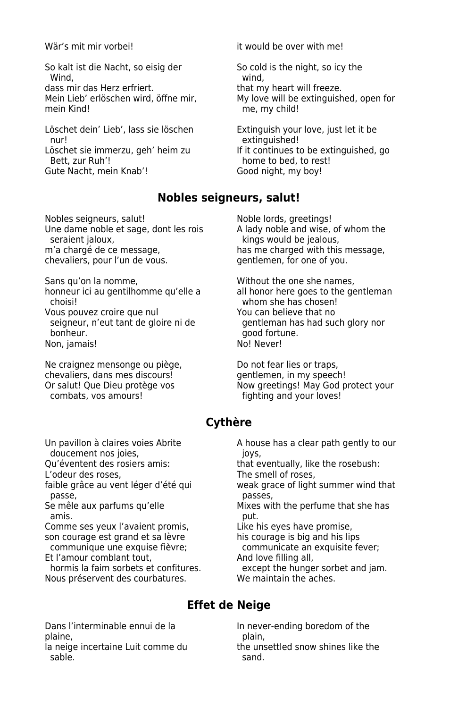So kalt ist die Nacht, so eisig der So cold is the night, so icy the Wind, the contract of the contract of the contract of the contract of the contract of the contract of the contract of the contract of the contract of the contract of the contract of the contract of the contract of the cont dass mir das Herz erfriert.<br>Mein Lieb' erlöschen wird. öffne mir. My love will be extinguish

Löschet dein' Lieb', lass sie löschen Extinguish your love, just let it be nur! extinguished!<br>Löschet sie immerzu, geh' heim zu better if it continues t Gute Nacht, mein Knab'!

Nobles seigneurs, salut!<br>
Une dame noble et sage, dont les rois A lady noble and wise, of whom the Une dame noble et sage, dont les rois seraient jaloux. seraient jaloux,<br>m'a chargé de ce message, has me charged with this chevaliers, pour l'un de vous.

Sans qu'on la nomme,<br>
honneur ici au gentilhomme qu'elle a a ll honor here goes to the gentleman honneur ici au gentilhomme qu'elle a choisi!<br>
Yous pouvez croire que nul<br>
You can believe that no Vous pouvez croire que nul You can believe that no<br>seigneur, n'eut tant de gloire ni de quertleman has had such glory nor seigneur, n'eut tant de gloire ni de bonheur. good fortune. Non, jamais!

Ne craignez mensonge ou piège,  $\qquad$  Do not fear lies or traps, chevaliers, dans mes discours! chevaliers, dans mes discours!<br>Or salut! Que Dieu protège vos

Wär's mit mir vorbei! it would be over with me!

My love will be extinguished, open for mein Kind! 
and the contract of the me much in the multiple me. much ild!

öschet sie immerzu, geh' heim zu If it continues to be extinguished, go<br>Bett, zur Ruh'! If it continues to bed, to rest! home to bed, to rest!<br>Good night, my boy!

#### **Nobles seigneurs, salut!**

has me charged with this message, gentlemen, for one of you.

Or salut! Que Dieu protège vos **Now greetings! May God protect your** combats, vos amours! fighting and your loves!

#### **Cythère**

doucement nos joies,<br>Qu'éventent des rosiers amis: that e

L'odeur des roses, The smell of roses,

passe, **passes**,

amis. put.

son courage est grand et sa lèvre his courage is big and his lips

Et l'amour comblant tout, and love filling all,

Nous préservent des courbatures. We maintain the aches.

Dans l'interminable ennui de la In never-ending boredom of the

la neige incertaine Luit comme du the unsettled snow shines like the unsettled solid shines like the unsettle<br>Sand shines in the shines of the shines like the shines of the shines of the shines of the shines of the unset sable. Sable and the same sand.

Un pavillon à claires voies Abrite A house has a clear path gently to our

that eventually, like the rosebush:

faible grâce au vent léger d'été qui weak grace of light summer wind that

Se mêle aux parfums qu'elle Mixes with the perfume that she has

Comme ses yeux l'avaient promis, Like his eyes have promise,

communique une exquise fièvre; communicate an exquisite fever;

hormis la faim sorbets et confitures. except the hunger sorbet and jam.

#### **Effet de Neige**

plaine,<br>la neige incertaine Luit comme du annume the unsettled snow shines like the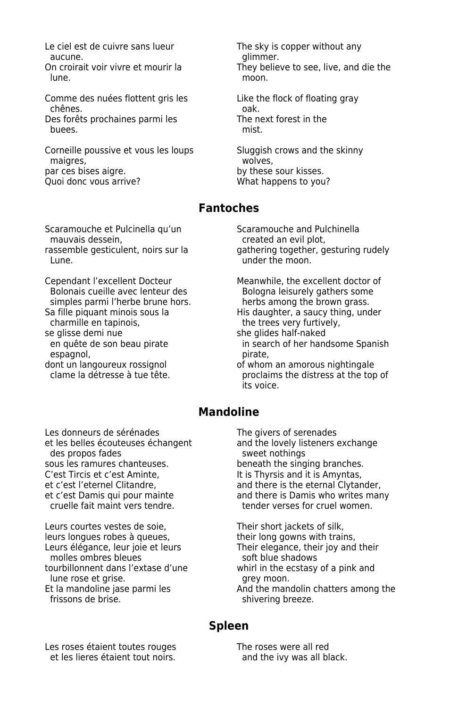Le ciel est de cuivre sans lueur The sky is copper without any aucune.<br>On croirait voir vivre et mourir la enties on they belie lune. The contract of the contract of the moon.

Comme des nuées flottent gris les<br>
Like the flock of floating gray chênes.<br>Che storêts prochaines parmi les<br>The next forest in the Des forêts prochaines parmi les<br>buees. The mist buees.

Corneille poussive et vous les loups<br>
maigres.<br>
wolves. maigres,<br>
par ces bises aigre. par ces bises aigre.<br>
ouoi donc vous arrive?<br>
Ouoi donc vous arrive?

Scaramouche et Pulcinella qu'un Scaramouche and Pulchinella<br>mauvais dessein. Consument serve de la preated an evil plot. mauvais dessein,<br>
rassemble gesticulent, noirs sur la execution qathering together, g

Cependant l'excellent Docteur Meanwhile, the excellent doctor of<br>Bolonais cueille avec lenteur des Meanwhile, the excellent doctor of Bolonais cueille avec lenteur des Bologna leisurely gathers some<br>
simples parmi l'herbe brune hors. 
Simples parmi l'herbe brune hors. simples parmi l'herbe brune hors.<br>
Sa fille piquant minois sous la Branchie His daughter, a saucy thing, unc Sa fille piquant minois sous la Santismus His daughter, a saucy thing, under charmille en tapinois. charmille en tapinois, the trees very furtively,<br>se alisse demi nue that the state of the state of the state of the state of the state of the state of the stat e glisse demi nue<br>
en quête de son beau pirate<br>
in search of her hand espagnol,<br>dont un langoureux rossignol

They believe to see, live, and die the

What happens to you?

#### **Fantoches**

assemble gesticulent, noirs sur la and gathering together, gesturing rudely<br>Lune under the moon.

in search of her handsome Spanish<br>pirate i

lont un langoureux rossignol entity of whom an amorous nightingale<br>
clame la détresse à tue tête. proclaims the distress at the top of its voice.

#### **Mandoline**

Les donneurs de sérénades The givers of serenades et les belles écouteuses échangent and the lovely listeners exchange des propos fades **sweet nothings** sous les ramures chanteuses. beneath the singing branches. C'est Tircis et c'est Aminte, It is Thyrsis and it is Amyntas, et c'est l'eternel Clitandre, and there is the eternal Clytander, cruelle fait maint vers tendre. tender verses for cruel women.

Leurs courtes vestes de soie, Their short jackets of silk, leurs longues robes à queues, their long gowns with trains, Leurs élégance, leur joie et leurs Their elegance, their joy and their molles ombres bleues soft blue shadows tourbillonnent dans l'extase d'une whirl in the ecstasy of a pink and lune rose et grise. The set of the set of the set of the set of the set of the set of the set of the set of the frissons de brise. The shivering breeze.

et c'est Damis qui pour mainte and there is Damis who writes many

Et la mandoline jase parmi les And the mandolin chatters among the

#### **Spleen**

Les roses étaient toutes rouges<br>
et les lieres étaient tout noirs.<br>
and the ivy was all bl

and the ivy was all black.